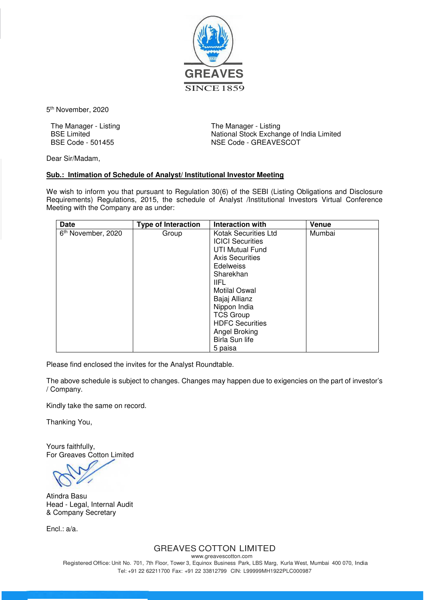

5 th November, 2020

The Manager - Listing BSE Limited BSE Code - 501455

The Manager - Listing National Stock Exchange of India Limited NSE Code - GREAVESCOT

Dear Sir/Madam,

## **Sub.: Intimation of Schedule of Analyst/ Institutional Investor Meeting**

We wish to inform you that pursuant to Regulation 30(6) of the SEBI (Listing Obligations and Disclosure Requirements) Regulations, 2015, the schedule of Analyst /Institutional Investors Virtual Conference Meeting with the Company are as under:

| <b>Date</b>                    | <b>Type of Interaction</b> | <b>Interaction with</b> | Venue  |
|--------------------------------|----------------------------|-------------------------|--------|
| 6 <sup>th</sup> November, 2020 | Group                      | Kotak Securities Ltd    | Mumbai |
|                                |                            | <b>ICICI Securities</b> |        |
|                                |                            | <b>UTI Mutual Fund</b>  |        |
|                                |                            | <b>Axis Securities</b>  |        |
|                                |                            | <b>Edelweiss</b>        |        |
|                                |                            | Sharekhan               |        |
|                                |                            | <b>IIFL</b>             |        |
|                                |                            | <b>Motilal Oswal</b>    |        |
|                                |                            | Bajaj Allianz           |        |
|                                |                            | Nippon India            |        |
|                                |                            | <b>TCS Group</b>        |        |
|                                |                            | <b>HDFC Securities</b>  |        |
|                                |                            | Angel Broking           |        |
|                                |                            | Birla Sun life          |        |
|                                |                            | 5 paisa                 |        |

Please find enclosed the invites for the Analyst Roundtable.

The above schedule is subject to changes. Changes may happen due to exigencies on the part of investor's / Company.

Kindly take the same on record.

Thanking You,

Yours faithfully, For Greaves Cotton Limited

Atindra Basu Head - Legal, Internal Audit & Company Secretary

Encl.: a/a.

GREAVES COTTON LIMITED

www.greavescotton.com Registered Office: Unit No. 701, 7th Floor, Tower 3, Equinox Business Park, LBS Marg, Kurla West, Mumbai 400 070, India Tel: +91 22 62211700 Fax: +91 22 33812799 CIN: L99999MH1922PLC000987